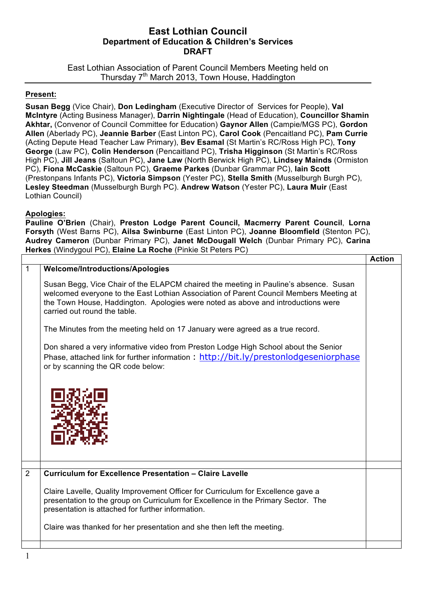## **East Lothian Council Department of Education & Children's Services DRAFT**

East Lothian Association of Parent Council Members Meeting held on Thursday 7<sup>th</sup> March 2013, Town House, Haddington

## **Present:**

**Susan Begg** (Vice Chair), **Don Ledingham** (Executive Director of Services for People), **Val McIntyre** (Acting Business Manager), **Darrin Nightingale** (Head of Education), **Councillor Shamin Akhtar,** (Convenor of Council Committee for Education) **Gaynor Allen** (Campie/MGS PC), **Gordon Allen** (Aberlady PC), **Jeannie Barber** (East Linton PC), **Carol Cook** (Pencaitland PC), **Pam Currie** (Acting Depute Head Teacher Law Primary), **Bev Esamal** (St Martin's RC/Ross High PC), **Tony George** (Law PC), **Colin Henderson** (Pencaitland PC), **Trisha Higginson** (St Martin's RC/Ross High PC), **Jill Jeans** (Saltoun PC), **Jane Law** (North Berwick High PC), **Lindsey Mainds** (Ormiston PC), **Fiona McCaskie** (Saltoun PC), **Graeme Parkes** (Dunbar Grammar PC), **Iain Scott**  (Prestonpans Infants PC), **Victoria Simpson** (Yester PC), **Stella Smith** (Musselburgh Burgh PC), **Lesley Steedman** (Musselburgh Burgh PC). **Andrew Watson** (Yester PC), **Laura Muir** (East Lothian Council)

## **Apologies:**

**Pauline O'Brien** (Chair), **Preston Lodge Parent Council, Macmerry Parent Council**, **Lorna Forsyth** (West Barns PC), **Ailsa Swinburne** (East Linton PC), **Joanne Bloomfield** (Stenton PC), **Audrey Cameron** (Dunbar Primary PC), **Janet McDougall Welch** (Dunbar Primary PC), **Carina Herkes** (Windygoul PC), **Elaine La Roche** (Pinkie St Peters PC)

|   |                                                                                                                                                                                                                                                                                                      | <b>Action</b> |
|---|------------------------------------------------------------------------------------------------------------------------------------------------------------------------------------------------------------------------------------------------------------------------------------------------------|---------------|
| 1 | <b>Welcome/Introductions/Apologies</b>                                                                                                                                                                                                                                                               |               |
|   | Susan Begg, Vice Chair of the ELAPCM chaired the meeting in Pauline's absence. Susan<br>welcomed everyone to the East Lothian Association of Parent Council Members Meeting at<br>the Town House, Haddington. Apologies were noted as above and introductions were<br>carried out round the table.   |               |
|   | The Minutes from the meeting held on 17 January were agreed as a true record.                                                                                                                                                                                                                        |               |
|   | Don shared a very informative video from Preston Lodge High School about the Senior<br>Phase, attached link for further information: http://bit.ly/prestonlodgeseniorphase<br>or by scanning the QR code below:                                                                                      |               |
|   |                                                                                                                                                                                                                                                                                                      |               |
| 2 | <b>Curriculum for Excellence Presentation - Claire Lavelle</b>                                                                                                                                                                                                                                       |               |
|   | Claire Lavelle, Quality Improvement Officer for Curriculum for Excellence gave a<br>presentation to the group on Curriculum for Excellence in the Primary Sector. The<br>presentation is attached for further information.<br>Claire was thanked for her presentation and she then left the meeting. |               |
|   |                                                                                                                                                                                                                                                                                                      |               |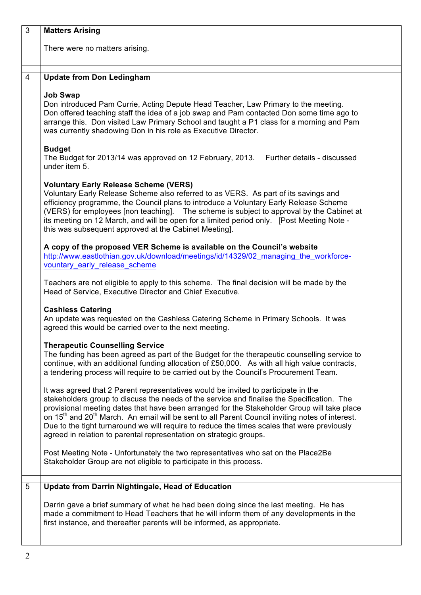| 3              | <b>Matters Arising</b>                                                                                                                                                                                                                                                                                                                                                                                                                                                                                                                                                          |  |
|----------------|---------------------------------------------------------------------------------------------------------------------------------------------------------------------------------------------------------------------------------------------------------------------------------------------------------------------------------------------------------------------------------------------------------------------------------------------------------------------------------------------------------------------------------------------------------------------------------|--|
|                | There were no matters arising.                                                                                                                                                                                                                                                                                                                                                                                                                                                                                                                                                  |  |
| $\overline{4}$ | <b>Update from Don Ledingham</b>                                                                                                                                                                                                                                                                                                                                                                                                                                                                                                                                                |  |
|                | <b>Job Swap</b><br>Don introduced Pam Currie, Acting Depute Head Teacher, Law Primary to the meeting.<br>Don offered teaching staff the idea of a job swap and Pam contacted Don some time ago to<br>arrange this. Don visited Law Primary School and taught a P1 class for a morning and Pam<br>was currently shadowing Don in his role as Executive Director.                                                                                                                                                                                                                 |  |
|                | <b>Budget</b><br>The Budget for 2013/14 was approved on 12 February, 2013.<br>Further details - discussed<br>under item 5.                                                                                                                                                                                                                                                                                                                                                                                                                                                      |  |
|                | <b>Voluntary Early Release Scheme (VERS)</b><br>Voluntary Early Release Scheme also referred to as VERS. As part of its savings and<br>efficiency programme, the Council plans to introduce a Voluntary Early Release Scheme<br>(VERS) for employees [non teaching]. The scheme is subject to approval by the Cabinet at<br>its meeting on 12 March, and will be open for a limited period only. [Post Meeting Note -<br>this was subsequent approved at the Cabinet Meeting].                                                                                                  |  |
|                | A copy of the proposed VER Scheme is available on the Council's website<br>http://www.eastlothian.gov.uk/download/meetings/id/14329/02 managing the workforce-<br>vountary early release scheme                                                                                                                                                                                                                                                                                                                                                                                 |  |
|                | Teachers are not eligible to apply to this scheme. The final decision will be made by the<br>Head of Service, Executive Director and Chief Executive.                                                                                                                                                                                                                                                                                                                                                                                                                           |  |
|                | <b>Cashless Catering</b><br>An update was requested on the Cashless Catering Scheme in Primary Schools. It was<br>agreed this would be carried over to the next meeting.                                                                                                                                                                                                                                                                                                                                                                                                        |  |
|                | <b>Therapeutic Counselling Service</b><br>The funding has been agreed as part of the Budget for the therapeutic counselling service to<br>continue, with an additional funding allocation of £50,000. As with all high value contracts,<br>a tendering process will require to be carried out by the Council's Procurement Team.                                                                                                                                                                                                                                                |  |
|                | It was agreed that 2 Parent representatives would be invited to participate in the<br>stakeholders group to discuss the needs of the service and finalise the Specification. The<br>provisional meeting dates that have been arranged for the Stakeholder Group will take place<br>on 15 <sup>th</sup> and 20 <sup>th</sup> March. An email will be sent to all Parent Council inviting notes of interest.<br>Due to the tight turnaround we will require to reduce the times scales that were previously<br>agreed in relation to parental representation on strategic groups. |  |
|                | Post Meeting Note - Unfortunately the two representatives who sat on the Place2Be<br>Stakeholder Group are not eligible to participate in this process.                                                                                                                                                                                                                                                                                                                                                                                                                         |  |
| 5              | <b>Update from Darrin Nightingale, Head of Education</b>                                                                                                                                                                                                                                                                                                                                                                                                                                                                                                                        |  |
|                | Darrin gave a brief summary of what he had been doing since the last meeting. He has<br>made a commitment to Head Teachers that he will inform them of any developments in the<br>first instance, and thereafter parents will be informed, as appropriate.                                                                                                                                                                                                                                                                                                                      |  |
|                |                                                                                                                                                                                                                                                                                                                                                                                                                                                                                                                                                                                 |  |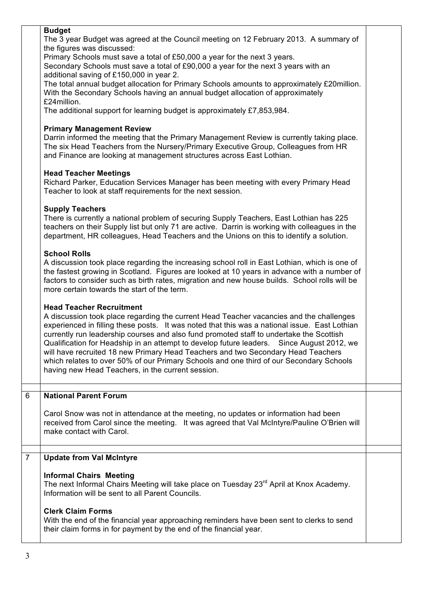|                | <b>Budget</b><br>The 3 year Budget was agreed at the Council meeting on 12 February 2013. A summary of<br>the figures was discussed:<br>Primary Schools must save a total of £50,000 a year for the next 3 years.<br>Secondary Schools must save a total of £90,000 a year for the next 3 years with an<br>additional saving of £150,000 in year 2.<br>The total annual budget allocation for Primary Schools amounts to approximately £20million.<br>With the Secondary Schools having an annual budget allocation of approximately<br>£24million.<br>The additional support for learning budget is approximately £7,853,984.<br><b>Primary Management Review</b><br>Darrin informed the meeting that the Primary Management Review is currently taking place.<br>The six Head Teachers from the Nursery/Primary Executive Group, Colleagues from HR<br>and Finance are looking at management structures across East Lothian.<br><b>Head Teacher Meetings</b><br>Richard Parker, Education Services Manager has been meeting with every Primary Head<br>Teacher to look at staff requirements for the next session.<br><b>Supply Teachers</b><br>There is currently a national problem of securing Supply Teachers, East Lothian has 225<br>teachers on their Supply list but only 71 are active. Darrin is working with colleagues in the<br>department, HR colleagues, Head Teachers and the Unions on this to identify a solution.<br><b>School Rolls</b><br>A discussion took place regarding the increasing school roll in East Lothian, which is one of<br>the fastest growing in Scotland. Figures are looked at 10 years in advance with a number of |  |
|----------------|---------------------------------------------------------------------------------------------------------------------------------------------------------------------------------------------------------------------------------------------------------------------------------------------------------------------------------------------------------------------------------------------------------------------------------------------------------------------------------------------------------------------------------------------------------------------------------------------------------------------------------------------------------------------------------------------------------------------------------------------------------------------------------------------------------------------------------------------------------------------------------------------------------------------------------------------------------------------------------------------------------------------------------------------------------------------------------------------------------------------------------------------------------------------------------------------------------------------------------------------------------------------------------------------------------------------------------------------------------------------------------------------------------------------------------------------------------------------------------------------------------------------------------------------------------------------------------------------------------------------------------------------------------------|--|
|                | factors to consider such as birth rates, migration and new house builds. School rolls will be<br>more certain towards the start of the term.<br><b>Head Teacher Recruitment</b><br>A discussion took place regarding the current Head Teacher vacancies and the challenges<br>experienced in filling these posts. It was noted that this was a national issue. East Lothian<br>currently run leadership courses and also fund promoted staff to undertake the Scottish<br>Qualification for Headship in an attempt to develop future leaders. Since August 2012, we<br>will have recruited 18 new Primary Head Teachers and two Secondary Head Teachers<br>which relates to over 50% of our Primary Schools and one third of our Secondary Schools<br>having new Head Teachers, in the current session.                                                                                                                                                                                                                                                                                                                                                                                                                                                                                                                                                                                                                                                                                                                                                                                                                                                       |  |
| $\overline{6}$ | <b>National Parent Forum</b><br>Carol Snow was not in attendance at the meeting, no updates or information had been<br>received from Carol since the meeting. It was agreed that Val McIntyre/Pauline O'Brien will<br>make contact with Carol.                                                                                                                                                                                                                                                                                                                                                                                                                                                                                                                                                                                                                                                                                                                                                                                                                                                                                                                                                                                                                                                                                                                                                                                                                                                                                                                                                                                                                |  |
| $\overline{7}$ | <b>Update from Val McIntyre</b>                                                                                                                                                                                                                                                                                                                                                                                                                                                                                                                                                                                                                                                                                                                                                                                                                                                                                                                                                                                                                                                                                                                                                                                                                                                                                                                                                                                                                                                                                                                                                                                                                               |  |
|                | <b>Informal Chairs Meeting</b><br>The next Informal Chairs Meeting will take place on Tuesday 23 <sup>rd</sup> April at Knox Academy.<br>Information will be sent to all Parent Councils.<br><b>Clerk Claim Forms</b>                                                                                                                                                                                                                                                                                                                                                                                                                                                                                                                                                                                                                                                                                                                                                                                                                                                                                                                                                                                                                                                                                                                                                                                                                                                                                                                                                                                                                                         |  |
|                | With the end of the financial year approaching reminders have been sent to clerks to send<br>their claim forms in for payment by the end of the financial year.                                                                                                                                                                                                                                                                                                                                                                                                                                                                                                                                                                                                                                                                                                                                                                                                                                                                                                                                                                                                                                                                                                                                                                                                                                                                                                                                                                                                                                                                                               |  |